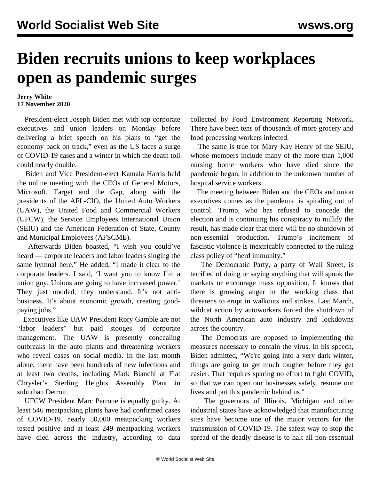## **Biden recruits unions to keep workplaces open as pandemic surges**

## **Jerry White 17 November 2020**

 President-elect Joseph Biden met with top corporate executives and union leaders on Monday before delivering a brief speech on his plans to "get the economy back on track," even as the US faces a surge of COVID-19 cases and a winter in which the death toll could nearly double.

 Biden and Vice President-elect Kamala Harris held the online meeting with the CEOs of General Motors, Microsoft, Target and the Gap, along with the presidents of the AFL-CIO, the United Auto Workers (UAW), the United Food and Commercial Workers (UFCW), the Service Employees International Union (SEIU) and the American Federation of State, County and Municipal Employees (AFSCME).

 Afterwards Biden boasted, "I wish you could've heard — corporate leaders and labor leaders singing the same hymnal here." He added, "I made it clear to the corporate leaders. I said, 'I want you to know I'm a union guy. Unions are going to have increased power.' They just nodded, they understand. It's not antibusiness. It's about economic growth, creating goodpaying jobs."

 Executives like UAW President Rory Gamble are not "labor leaders" but paid stooges of corporate management. The UAW is presently concealing outbreaks in the auto plants and threatening workers who reveal cases on social media. In the last month alone, there have been hundreds of new infections and at least two deaths, including Mark Bianchi at Fiat Chrysler's Sterling Heights Assembly Plant in suburban Detroit.

 UFCW President Marc Perrone is equally guilty. At least 546 meatpacking plants have had confirmed cases of COVID-19, nearly 50,000 meatpacking workers tested positive and at least 249 meatpacking workers have died across the industry, according to data

collected by Food Environment Reporting Network. There have been tens of thousands of more grocery and food processing workers infected.

 The same is true for Mary Kay Henry of the SEIU, whose members include many of the more than 1,000 nursing home workers who have died since the pandemic began, in addition to the unknown number of hospital service workers.

 The meeting between Biden and the CEOs and union executives comes as the pandemic is spiraling out of control. Trump, who has refused to concede the election and is continuing his conspiracy to nullify the result, has made clear that there will be no shutdown of non-essential production. Trump's incitement of fascistic violence is inextricably connected to the ruling class policy of "herd immunity."

 The Democratic Party, a party of Wall Street, is terrified of doing or saying anything that will spook the markets or encourage mass opposition. It knows that there is growing anger in the working class that threatens to erupt in walkouts and strikes. Last March, wildcat action by autoworkers forced the shutdown of the North American auto industry and lockdowns across the country.

 The Democrats are opposed to implementing the measures necessary to contain the virus. In his speech, Biden admitted, "We're going into a very dark winter, things are going to get much tougher before they get easier. That requires sparing no effort to fight COVID, so that we can open our businesses safely, resume our lives and put this pandemic behind us."

 The governors of Illinois, Michigan and other industrial states have acknowledged that manufacturing sites have become one of the major vectors for the transmission of COVID-19. The safest way to stop the spread of the deadly disease is to halt all non-essential